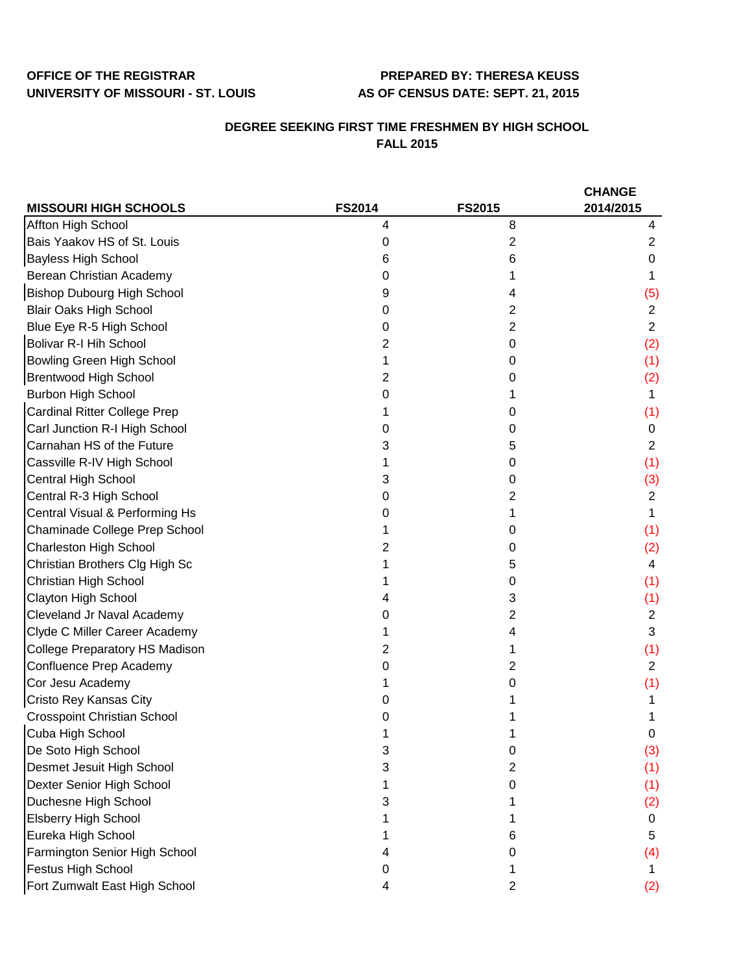## **OFFICE OF THE REGISTRAR PREPARED BY: THERESA KEUSS UNIVERSITY OF MISSOURI - ST. LOUIS AS OF CENSUS DATE: SEPT. 21, 2015**

## **DEGREE SEEKING FIRST TIME FRESHMEN BY HIGH SCHOOL FALL 2015**

|                                       |               |                | <b>CHANGE</b>  |
|---------------------------------------|---------------|----------------|----------------|
| <b>MISSOURI HIGH SCHOOLS</b>          | <b>FS2014</b> | <b>FS2015</b>  | 2014/2015      |
| Affton High School                    | 4             | 8              | 4              |
| Bais Yaakov HS of St. Louis           | 0             | 2              | 2              |
| <b>Bayless High School</b>            | 6             | 6              | 0              |
| Berean Christian Academy              | 0             |                |                |
| <b>Bishop Dubourg High School</b>     | 9             | 4              | (5)            |
| <b>Blair Oaks High School</b>         | 0             | 2              | $\overline{2}$ |
| Blue Eye R-5 High School              | 0             | $\overline{c}$ | $\overline{2}$ |
| <b>Bolivar R-I Hih School</b>         | 2             | 0              | (2)            |
| <b>Bowling Green High School</b>      |               | 0              | (1)            |
| <b>Brentwood High School</b>          | 2             | 0              | (2)            |
| <b>Burbon High School</b>             | 0             |                | 1              |
| <b>Cardinal Ritter College Prep</b>   |               | 0              | (1)            |
| Carl Junction R-I High School         | 0             | 0              | 0              |
| Carnahan HS of the Future             | 3             | 5              | $\overline{2}$ |
| Cassville R-IV High School            |               | 0              | (1)            |
| Central High School                   | 3             | 0              | (3)            |
| Central R-3 High School               | 0             | 2              | $\overline{2}$ |
| Central Visual & Performing Hs        | 0             |                | 1              |
| Chaminade College Prep School         |               | 0              | (1)            |
| <b>Charleston High School</b>         | 2             | 0              | (2)            |
| Christian Brothers Clg High Sc        |               | 5              | 4              |
| Christian High School                 |               | 0              | (1)            |
| Clayton High School                   |               | 3              | (1)            |
| Cleveland Jr Naval Academy            | O             | 2              | $\overline{2}$ |
| Clyde C Miller Career Academy         |               | 4              | 3              |
| <b>College Preparatory HS Madison</b> | 2             |                | (1)            |
| Confluence Prep Academy               | 0             | 2              | $\overline{2}$ |
| Cor Jesu Academy                      |               | O              | (1)            |
| Cristo Rey Kansas City                |               |                |                |
| <b>Crosspoint Christian School</b>    |               |                |                |
| Cuba High School                      |               |                | 0              |
| De Soto High School                   | 3             | 0              | (3)            |
| Desmet Jesuit High School             | 3             | 2              | (1)            |
| Dexter Senior High School             |               | 0              | (1)            |
| Duchesne High School                  | 3             |                | (2)            |
| <b>Elsberry High School</b>           |               |                | 0              |
| Eureka High School                    |               | 6              | 5              |
| Farmington Senior High School         |               | Ω              | (4)            |
| Festus High School                    | 0             |                |                |
| Fort Zumwalt East High School         | 4             | 2              | (2)            |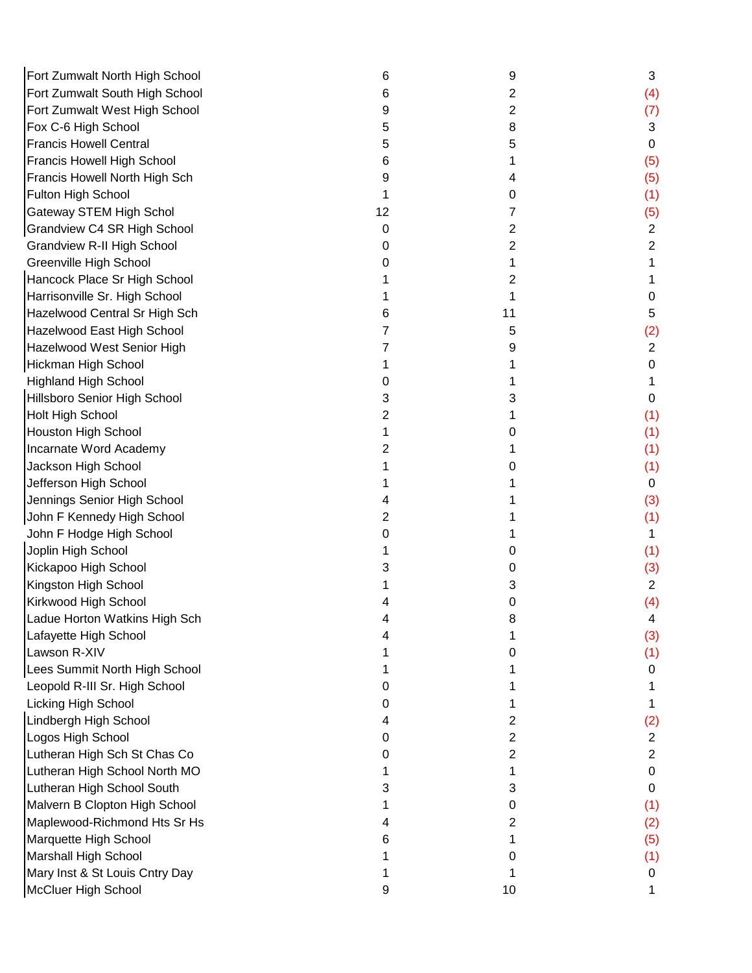| Fort Zumwalt North High School    | 6  | 9  | 3              |
|-----------------------------------|----|----|----------------|
| Fort Zumwalt South High School    | 6  | 2  | (4)            |
| Fort Zumwalt West High School     | 9  | 2  | (7)            |
| Fox C-6 High School               | 5  | 8  | 3              |
| <b>Francis Howell Central</b>     | 5  | 5  | $\mathbf 0$    |
| Francis Howell High School        | 6  |    | (5)            |
| Francis Howell North High Sch     | 9  | 4  | (5)            |
| Fulton High School                |    | 0  | (1)            |
| <b>Gateway STEM High Schol</b>    | 12 | 7  | (5)            |
| Grandview C4 SR High School       | 0  | 2  | $\overline{2}$ |
| <b>Grandview R-II High School</b> | O  | 2  | $\overline{2}$ |
| Greenville High School            |    | 1  |                |
| Hancock Place Sr High School      |    | 2  |                |
| Harrisonville Sr. High School     |    |    | 0              |
| Hazelwood Central Sr High Sch     |    | 11 | 5              |
| Hazelwood East High School        |    | 5  | (2)            |
| Hazelwood West Senior High        |    | 9  | $\overline{2}$ |
| Hickman High School               |    |    | 0              |
| <b>Highland High School</b>       |    |    |                |
| Hillsboro Senior High School      | 3  | 3  | 0              |
| Holt High School                  | 2  |    | (1)            |
| <b>Houston High School</b>        |    | 0  | (1)            |
| Incarnate Word Academy            |    |    | (1)            |
| Jackson High School               |    | O  | (1)            |
| Jefferson High School             |    |    | 0              |
| Jennings Senior High School       |    |    | (3)            |
| John F Kennedy High School        | 2  |    | (1)            |
| John F Hodge High School          | O  |    | 1              |
| Joplin High School                |    | 0  | (1)            |
| Kickapoo High School              |    | 0  | (3)            |
| Kingston High School              |    | 3  | $\overline{2}$ |
| Kirkwood High School              |    | 0  | (4)            |
| Ladue Horton Watkins High Sch     |    | 8  | 4              |
| Lafayette High School             |    |    | (3)            |
| Lawson R-XIV                      |    | 0  | (1)            |
| Lees Summit North High School     |    |    | 0              |
| Leopold R-III Sr. High School     | O  |    |                |
| <b>Licking High School</b>        | O  |    |                |
| Lindbergh High School             |    | 2  | (2)            |
| Logos High School                 | 0  | 2  | $\overline{2}$ |
| Lutheran High Sch St Chas Co      | O  | 2  | $\overline{2}$ |
| Lutheran High School North MO     |    | 1  | $\mathbf 0$    |
| Lutheran High School South        | 3  | 3  | 0              |
| Malvern B Clopton High School     |    | 0  | (1)            |
| Maplewood-Richmond Hts Sr Hs      |    | 2  | (2)            |
| Marquette High School             | 6  |    | (5)            |
| <b>Marshall High School</b>       |    | O  | (1)            |
| Mary Inst & St Louis Cntry Day    |    |    | 0              |
| <b>McCluer High School</b>        | 9  | 10 | 1              |
|                                   |    |    |                |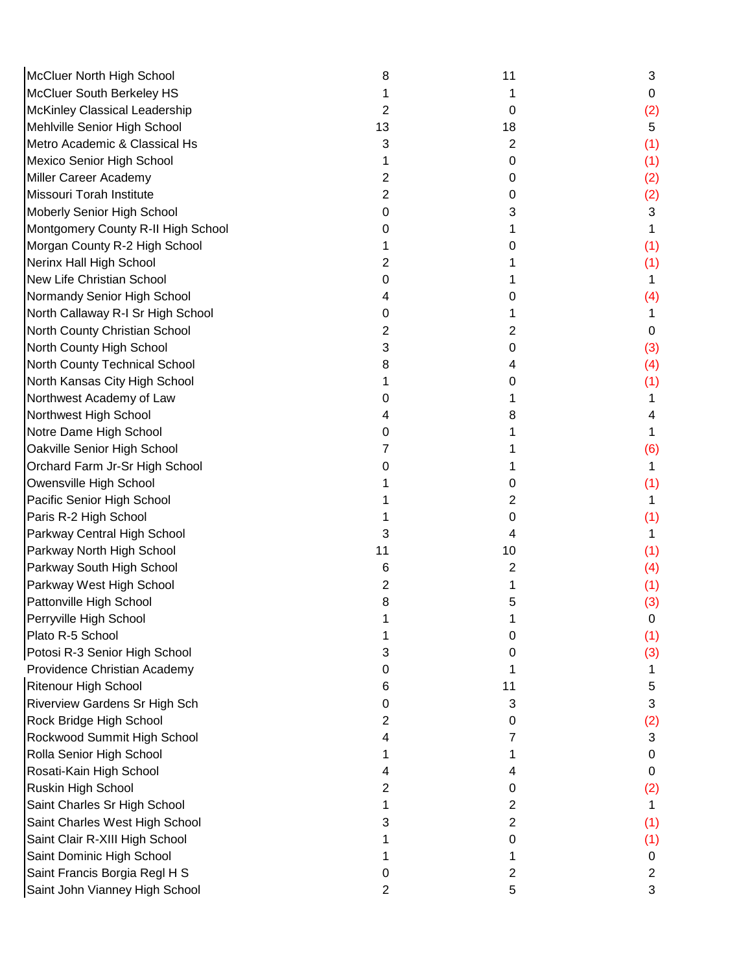| McCluer North High School            | 8  | 11 | 3              |
|--------------------------------------|----|----|----------------|
| McCluer South Berkeley HS            |    |    | 0              |
| McKinley Classical Leadership        | 2  | 0  | (2)            |
| Mehlville Senior High School         | 13 | 18 | 5              |
| Metro Academic & Classical Hs        | 3  | 2  | (1)            |
| Mexico Senior High School            |    | 0  | (1)            |
| Miller Career Academy                | 2  | 0  | (2)            |
| Missouri Torah Institute             | 2  | 0  | (2)            |
| Moberly Senior High School           | 0  | 3  | 3              |
| Montgomery County R-II High School   |    |    |                |
| Morgan County R-2 High School        |    | 0  | (1)            |
| Nerinx Hall High School              | 2  |    | (1)            |
| New Life Christian School            | 0  |    |                |
| Normandy Senior High School          |    | 0  | (4)            |
| North Callaway R-I Sr High School    | 0  | 1  |                |
| North County Christian School        | 2  | 2  | 0              |
| North County High School             | 3  | 0  | (3)            |
| North County Technical School        | 8  | 4  | (4)            |
| North Kansas City High School        |    | 0  | (1)            |
| Northwest Academy of Law             | O  |    |                |
| Northwest High School                |    | 8  | 4              |
| Notre Dame High School               | O  |    |                |
| Oakville Senior High School          |    |    | (6)            |
| Orchard Farm Jr-Sr High School       |    |    | 1              |
| Owensville High School               |    | 0  | (1)            |
| Pacific Senior High School           |    | 2  |                |
| Paris R-2 High School                |    | 0  | (1)            |
| Parkway Central High School          | 3  | 4  |                |
| Parkway North High School            | 11 | 10 | (1)            |
| Parkway South High School            | 6  | 2  | (4)            |
| Parkway West High School             | 2  |    | (1)            |
| Pattonville High School              | 8  | 5  | (3)            |
| Perryville High School               |    |    | 0              |
| Plato R-5 School                     |    | 0  | (1)            |
| Potosi R-3 Senior High School        | 3  | O  | (3)            |
| Providence Christian Academy         | 0  |    | 1              |
| <b>Ritenour High School</b>          | 6  | 11 | 5              |
| <b>Riverview Gardens Sr High Sch</b> | 0  | 3  | 3              |
| Rock Bridge High School              | 2  | 0  | (2)            |
| Rockwood Summit High School          |    |    | 3              |
| Rolla Senior High School             |    |    | 0              |
| Rosati-Kain High School              |    | 4  | 0              |
| Ruskin High School                   | 2  | 0  | (2)            |
| Saint Charles Sr High School         |    | 2  |                |
| Saint Charles West High School       |    | 2  | (1)            |
| Saint Clair R-XIII High School       |    | 0  | (1)            |
| Saint Dominic High School            |    |    | 0              |
| Saint Francis Borgia Regl H S        | 0  | 2  | $\overline{2}$ |
| Saint John Vianney High School       | 2  | 5  | 3              |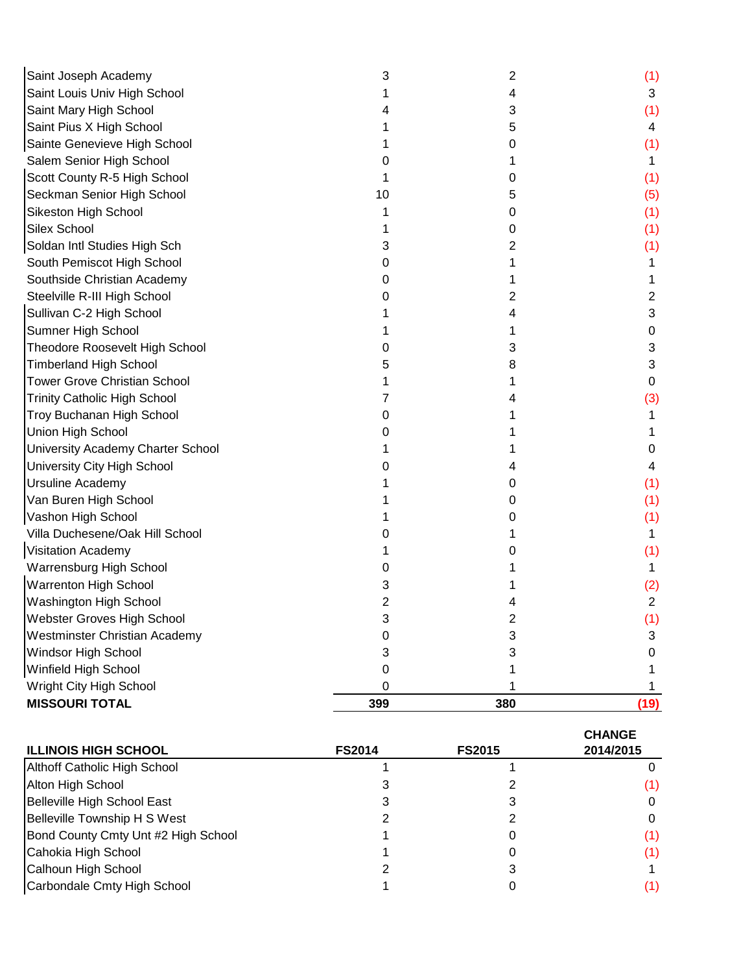| Saint Joseph Academy                | 3   | 2   | (1)  |
|-------------------------------------|-----|-----|------|
| Saint Louis Univ High School        |     | 4   | 3    |
| Saint Mary High School              |     | 3   | (1)  |
| Saint Pius X High School            |     | 5   | 4    |
| Sainte Genevieve High School        |     | 0   | (1)  |
| Salem Senior High School            |     |     |      |
| Scott County R-5 High School        |     | O   | (1)  |
| Seckman Senior High School          | 10  | 5   | (5)  |
| Sikeston High School                |     | 0   | (1)  |
| <b>Silex School</b>                 |     | 0   | (1)  |
| Soldan Intl Studies High Sch        | 3   | 2   | (1)  |
| South Pemiscot High School          | O   |     | 1    |
| Southside Christian Academy         | Ω   |     |      |
| Steelville R-III High School        |     | 2   | 2    |
| Sullivan C-2 High School            |     | 4   | 3    |
| Sumner High School                  |     |     | 0    |
| Theodore Roosevelt High School      | O   | 3   | 3    |
| <b>Timberland High School</b>       | 5   | 8   | 3    |
| <b>Tower Grove Christian School</b> |     |     | 0    |
| <b>Trinity Catholic High School</b> |     |     | (3)  |
| Troy Buchanan High School           | 0   |     |      |
| Union High School                   |     |     |      |
| University Academy Charter School   |     |     | O    |
| University City High School         |     |     | 4    |
| Ursuline Academy                    |     | 0   | (1)  |
| Van Buren High School               |     | 0   | (1)  |
| Vashon High School                  |     | 0   | (1)  |
| Villa Duchesene/Oak Hill School     |     |     | 1.   |
| Visitation Academy                  |     | O   | (1)  |
| Warrensburg High School             |     |     | 1    |
| Warrenton High School               | 3   |     | (2)  |
| Washington High School              | 2   |     | 2    |
| Webster Groves High School          | J   | ۷   | (1)  |
| Westminster Christian Academy       | 0   | 3   | 3    |
| Windsor High School                 | 3   | 3   | 0    |
| Winfield High School                | 0   |     |      |
| Wright City High School             | 0   |     |      |
| <b>MISSOURI TOTAL</b>               | 399 | 380 | (19) |

| <b>ILLINOIS HIGH SCHOOL</b>         | <b>FS2014</b> | <b>FS2015</b> | <b>CHANGE</b><br>2014/2015 |
|-------------------------------------|---------------|---------------|----------------------------|
| Althoff Catholic High School        |               |               |                            |
| Alton High School                   |               |               | (1)                        |
| Belleville High School East         |               |               |                            |
| Belleville Township H S West        |               |               | 0                          |
| Bond County Cmty Unt #2 High School |               |               | (1)                        |
| Cahokia High School                 |               |               | (1)                        |
| Calhoun High School                 |               |               |                            |
| Carbondale Cmty High School         |               |               | (1)                        |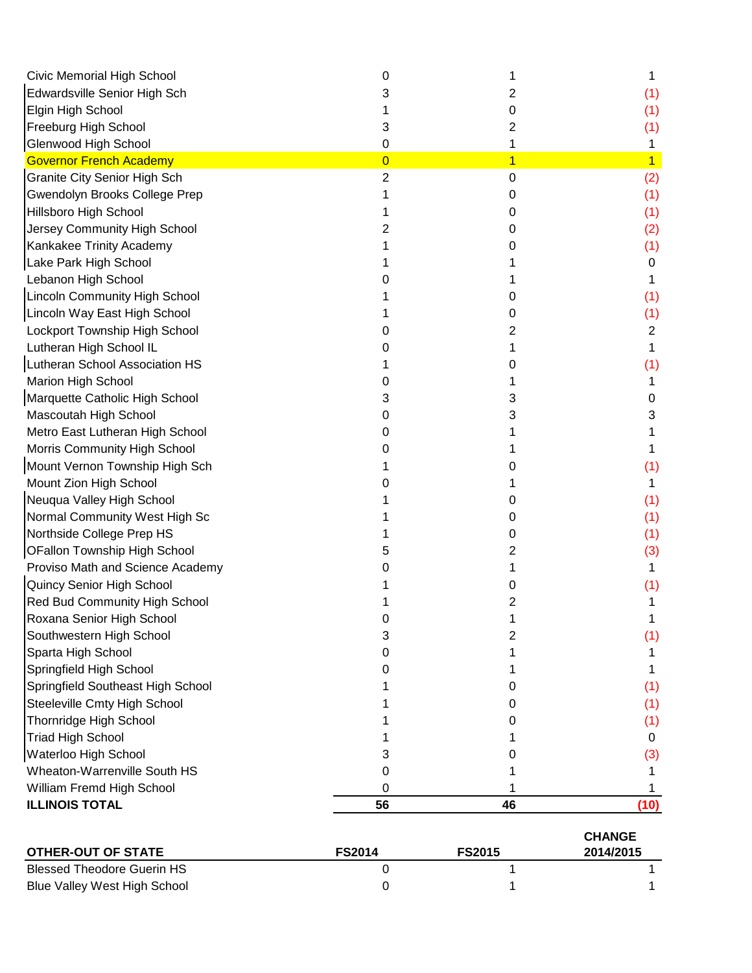| Civic Memorial High School          | 0              |                |                |
|-------------------------------------|----------------|----------------|----------------|
| Edwardsville Senior High Sch        |                | 2              | (1)            |
| Elgin High School                   |                | 0              | (1)            |
| Freeburg High School                | 3              | 2              | (1)            |
| Glenwood High School                | 0              | 1              | 1              |
| <b>Governor French Academy</b>      | $\overline{0}$ | $\overline{1}$ | $\overline{1}$ |
| <b>Granite City Senior High Sch</b> | 2              | 0              | (2)            |
| Gwendolyn Brooks College Prep       |                | 0              | (1)            |
| <b>Hillsboro High School</b>        |                | O              | (1)            |
| Jersey Community High School        |                | 0              | (2)            |
| Kankakee Trinity Academy            |                | O)             | (1)            |
| Lake Park High School               |                |                | 0              |
| Lebanon High School                 |                |                |                |
| Lincoln Community High School       |                | U              | (1)            |
| Lincoln Way East High School        |                | O              | (1)            |
| Lockport Township High School       |                | 2              | 2              |
| Lutheran High School IL             |                |                |                |
| Lutheran School Association HS      |                | O              | (1)            |
| Marion High School                  |                |                |                |
| Marquette Catholic High School      |                | 3              | 0              |
| Mascoutah High School               |                | 3              | 3              |
| Metro East Lutheran High School     |                |                |                |
| Morris Community High School        |                |                |                |
| Mount Vernon Township High Sch      |                |                | (1)            |
| Mount Zion High School              |                |                |                |
| Neuqua Valley High School           |                | O              | (1)            |
| Normal Community West High Sc       |                | 0              | (1)            |
| Northside College Prep HS           |                | 0              | (1)            |
| <b>OFallon Township High School</b> |                | 2              | (3)            |
| Proviso Math and Science Academy    |                |                |                |
| Quincy Senior High School           |                | 0              | (1)            |
| Red Bud Community High School       |                | 2              |                |
| Roxana Senior High School           |                |                |                |
| Southwestern High School            | 3              | 2              | (1)            |
| Sparta High School                  | O              |                |                |
| Springfield High School             |                |                |                |
| Springfield Southeast High School   |                | 0              | (1)            |
| Steeleville Cmty High School        |                | 0              | (1)            |
| <b>Thornridge High School</b>       |                | O              | (1)            |
| <b>Triad High School</b>            |                |                | 0              |
| Waterloo High School                |                |                | (3)            |
| Wheaton-Warrenville South HS        | O              |                |                |
| William Fremd High School           | 0              |                |                |
| <b>ILLINOIS TOTAL</b>               | 56             | 46             | (10)           |
|                                     |                |                | <b>CHANGE</b>  |

| OTHER-OUT OF STATE           | <b>FS2014</b> | <b>FS2015</b> | 2014/2015 |
|------------------------------|---------------|---------------|-----------|
| Blessed Theodore Guerin HS   |               |               |           |
| Blue Valley West High School |               |               |           |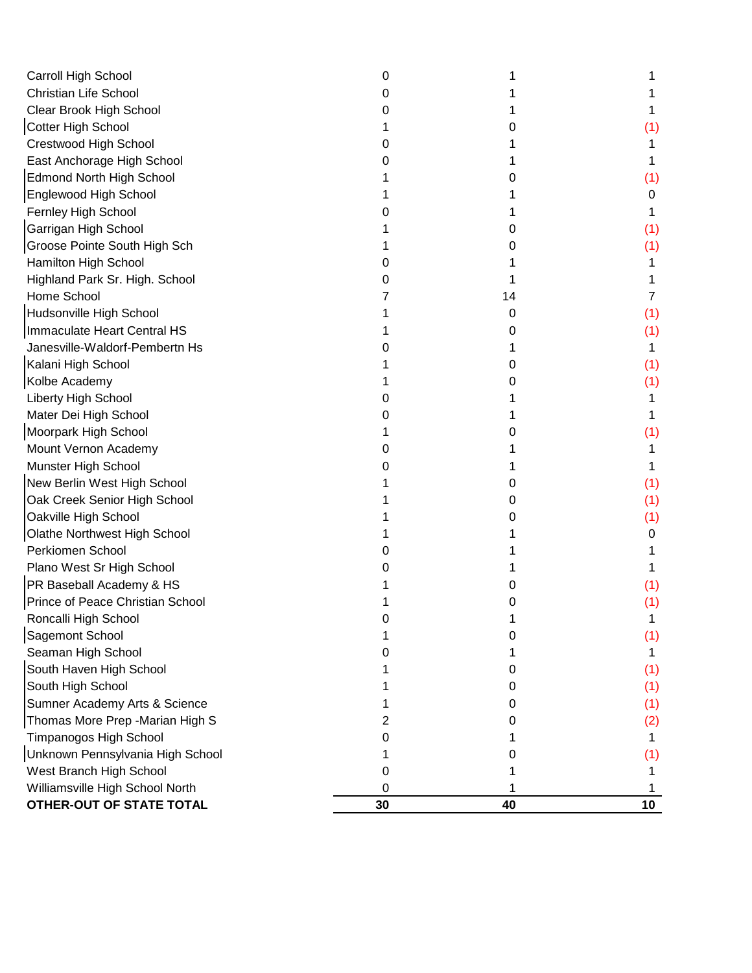| Carroll High School              | 0  |    |                 |
|----------------------------------|----|----|-----------------|
| <b>Christian Life School</b>     |    |    |                 |
| Clear Brook High School          |    |    |                 |
| Cotter High School               |    |    | (1)             |
| Crestwood High School            |    |    |                 |
| East Anchorage High School       |    |    |                 |
| <b>Edmond North High School</b>  |    |    | (1)             |
| Englewood High School            |    |    | 0               |
| Fernley High School              |    |    |                 |
| Garrigan High School             |    | O  | (1)             |
| Groose Pointe South High Sch     |    | Ω  | (1)             |
| Hamilton High School             |    |    |                 |
| Highland Park Sr. High. School   |    |    |                 |
| Home School                      |    | 14 |                 |
| Hudsonville High School          |    | 0  | (1)             |
| Immaculate Heart Central HS      |    | 0  | (1)             |
| Janesville-Waldorf-Pembertn Hs   |    |    | 1               |
| Kalani High School               |    | 0  | (1)             |
| Kolbe Academy                    |    |    | (1)             |
| Liberty High School              |    |    |                 |
| Mater Dei High School            |    |    |                 |
| Moorpark High School             |    | Ω  | (1)             |
| Mount Vernon Academy             |    |    |                 |
| Munster High School              |    |    |                 |
| New Berlin West High School      |    | 0  | (1)             |
| Oak Creek Senior High School     |    | 0  | (1)             |
| Oakville High School             |    | 0  | (1)             |
| Olathe Northwest High School     |    |    | 0               |
| Perkiomen School                 |    |    |                 |
| Plano West Sr High School        |    |    |                 |
| PR Baseball Academy & HS         |    |    | (1)             |
| Prince of Peace Christian School |    |    | (1)             |
| Roncalli High School             |    |    |                 |
| Sagemont School                  |    |    | (1)             |
| Seaman High School               |    |    |                 |
| South Haven High School          |    | O  | (1)             |
| South High School                |    | O  | (1)             |
| Sumner Academy Arts & Science    |    | 0  | (1)             |
| Thomas More Prep - Marian High S | 2  | 0  | (2)             |
| Timpanogos High School           |    |    |                 |
| Unknown Pennsylvania High School |    | 0  | (1)             |
| West Branch High School          | Ω  |    |                 |
| Williamsville High School North  | 0  |    |                 |
| OTHER-OUT OF STATE TOTAL         | 30 | 40 | 10 <sub>1</sub> |